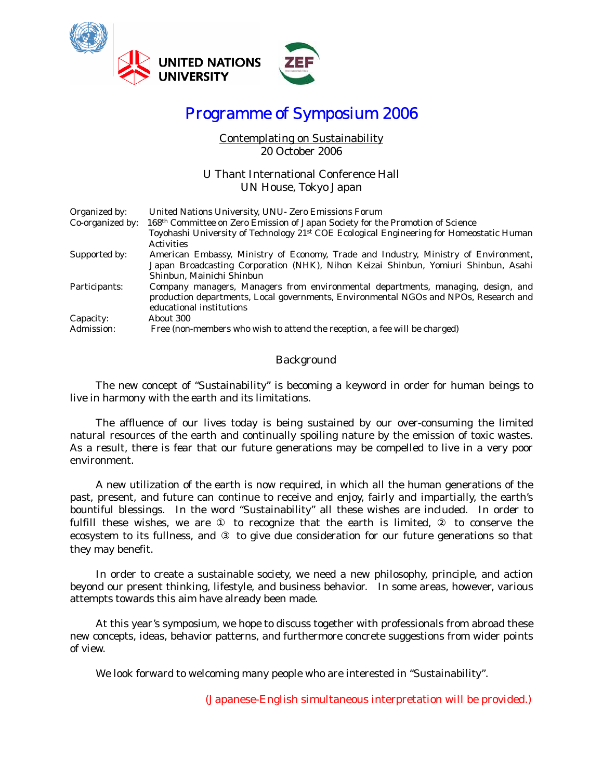

# Programme of Symposium 2006

### Contemplating on Sustainability 20 October 2006

### U Thant International Conference Hall UN House, Tokyo Japan

| Organized by:    | United Nations University, UNU- Zero Emissions Forum                                                 |
|------------------|------------------------------------------------------------------------------------------------------|
| Co-organized by: | 168 <sup>th</sup> Committee on Zero Emission of Japan Society for the Promotion of Science           |
|                  | Toyohashi University of Technology 21 <sup>st</sup> COE Ecological Engineering for Homeostatic Human |
|                  | <b>Activities</b>                                                                                    |
| Supported by:    | American Embassy, Ministry of Economy, Trade and Industry, Ministry of Environment,                  |
|                  | Japan Broadcasting Corporation (NHK), Nihon Keizai Shinbun, Yomiuri Shinbun, Asahi                   |
|                  | Shinbun, Mainichi Shinbun                                                                            |
| Participants:    | Company managers, Managers from environmental departments, managing, design, and                     |
|                  | production departments, Local governments, Environmental NGOs and NPOs, Research and                 |
|                  | educational institutions                                                                             |
| Capacity:        | About 300                                                                                            |
| Admission:       | Free (non-members who wish to attend the reception, a fee will be charged)                           |

### Background

The new concept of "Sustainability" is becoming a keyword in order for human beings to live in harmony with the earth and its limitations.

The affluence of our lives today is being sustained by our over-consuming the limited natural resources of the earth and continually spoiling nature by the emission of toxic wastes. As a result, there is fear that our future generations may be compelled to live in a very poor environment.

A new utilization of the earth is now required, in which all the human generations of the past, present, and future can continue to receive and enjoy, fairly and impartially, the earth's bountiful blessings. In the word "Sustainability" all these wishes are included. In order to fulfill these wishes, we are to recognize that the earth is limited, to conserve the ecosystem to its fullness, and to give due consideration for our future generations so that they may benefit.

In order to create a sustainable society, we need a new philosophy, principle, and action beyond our present thinking, lifestyle, and business behavior. In some areas, however, various attempts towards this aim have already been made.

At this year's symposium, we hope to discuss together with professionals from abroad these new concepts, ideas, behavior patterns, and furthermore concrete suggestions from wider points of view.

We look forward to welcoming many people who are interested in "Sustainability".

(Japanese-English simultaneous interpretation will be provided.)